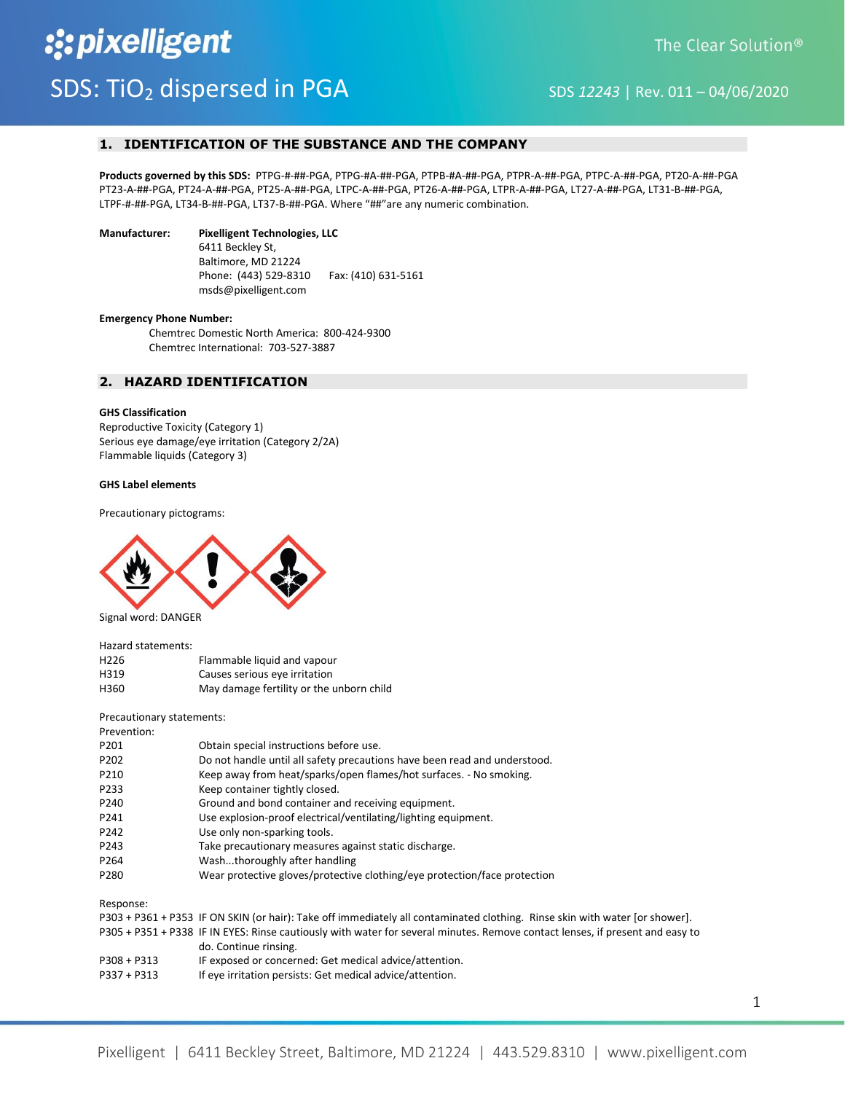# :: pixelligent SDS: TiO<sub>2</sub> dispersed in PGA SDS 12243 | Rev. 011 – 04/06/2020

# **1. IDENTIFICATION OF THE SUBSTANCE AND THE COMPANY**

**Products governed by this SDS:** PTPG-#-##-PGA, PTPG-#A-##-PGA, PTPB-#A-##-PGA, PTPR-A-##-PGA, PTPC-A-##-PGA, PT20-A-##-PGA PT23-A-##-PGA, PT24-A-##-PGA, PT25-A-##-PGA, LTPC-A-##-PGA, PT26-A-##-PGA, LTPR-A-##-PGA, LT27-A-##-PGA, LT31-B-##-PGA, LTPF-#-##-PGA, LT34-B-##-PGA, LT37-B-##-PGA. Where "##"are any numeric combination.

# **Manufacturer: Pixelligent Technologies, LLC**

 6411 Beckley St, Baltimore, MD 21224 Phone: (443) 529-8310 Fax: (410) 631-5161 msds@pixelligent.com

#### **Emergency Phone Number:**

Chemtrec Domestic North America: 800-424-9300 Chemtrec International: 703-527-3887

# **2. HAZARD IDENTIFICATION**

#### **GHS Classification**

Reproductive Toxicity (Category 1) Serious eye damage/eye irritation (Category 2/2A) Flammable liquids (Category 3)

#### **GHS Label elements**

Precautionary pictograms:



Signal word: DANGER

Hazard statements:

| H <sub>226</sub> | Flammable liquid and vapour              |
|------------------|------------------------------------------|
| H319             | Causes serious eye irritation            |
| H360             | May damage fertility or the unborn child |

Precautionary statements:

| Prevention:      |                                                                                                                               |
|------------------|-------------------------------------------------------------------------------------------------------------------------------|
| P201             | Obtain special instructions before use.                                                                                       |
| P <sub>202</sub> | Do not handle until all safety precautions have been read and understood.                                                     |
| P210             | Keep away from heat/sparks/open flames/hot surfaces. - No smoking.                                                            |
| P233             | Keep container tightly closed.                                                                                                |
| P <sub>240</sub> | Ground and bond container and receiving equipment.                                                                            |
| P241             | Use explosion-proof electrical/ventilating/lighting equipment.                                                                |
| P242             | Use only non-sparking tools.                                                                                                  |
| P243             | Take precautionary measures against static discharge.                                                                         |
| P264             | Washthoroughly after handling                                                                                                 |
| P <sub>280</sub> | Wear protective gloves/protective clothing/eye protection/face protection                                                     |
| Response:        |                                                                                                                               |
|                  | P303 + P361 + P353 IF ON SKIN (or hair): Take off immediately all contaminated clothing. Rinse skin with water [or shower].   |
|                  | P305 + P351 + P338 IF IN EYES: Rinse cautiously with water for several minutes. Remove contact lenses, if present and easy to |

- do. Continue rinsing.
- P308 + P313 IF exposed or concerned: Get medical advice/attention.
- P337 + P313 If eye irritation persists: Get medical advice/attention.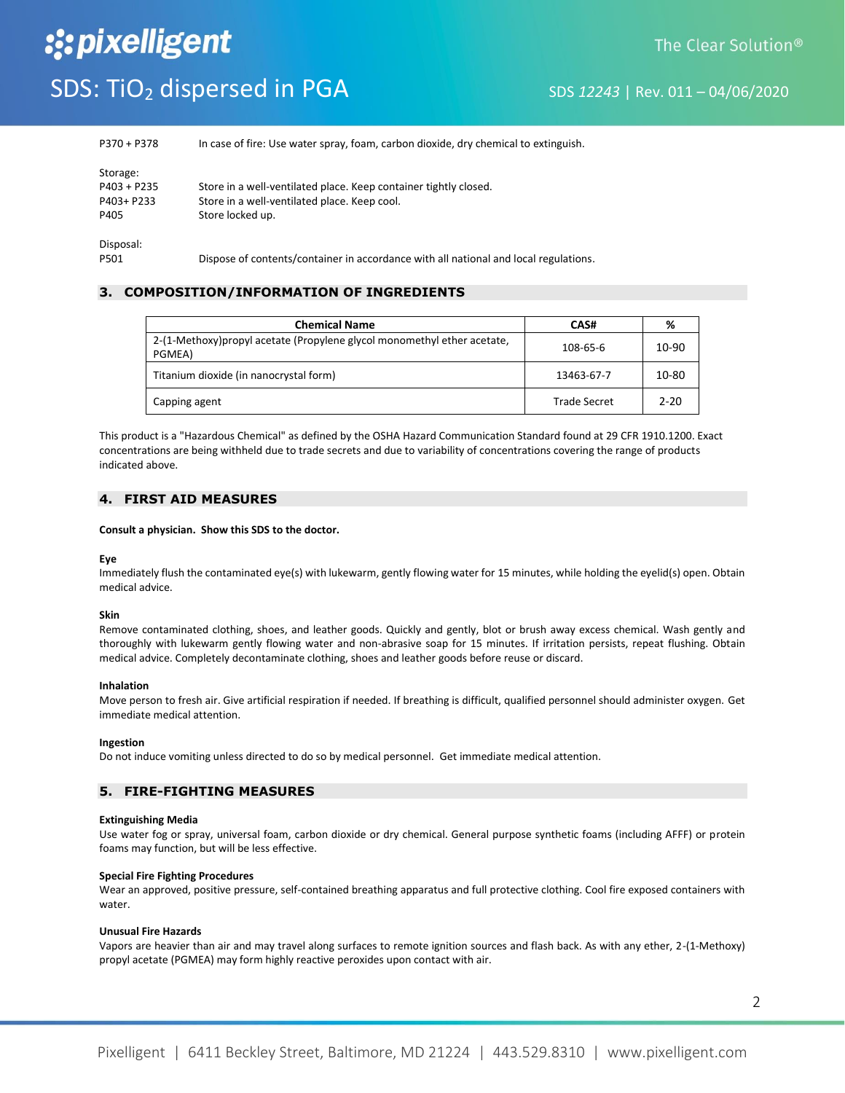# SDS: TiO<sub>2</sub> dispersed in PGA SDS 12243 | Rev. 011 – 04/06/2020

| P370 + P378   | In case of fire: Use water spray, foam, carbon dioxide, dry chemical to extinguish. |
|---------------|-------------------------------------------------------------------------------------|
| Storage:      |                                                                                     |
| $P403 + P235$ | Store in a well-ventilated place. Keep container tightly closed.                    |
| P403+ P233    | Store in a well-ventilated place. Keep cool.                                        |
| P405          | Store locked up.                                                                    |
|               |                                                                                     |
| Disposal:     |                                                                                     |

:: pixelligent

P501 Dispose of contents/container in accordance with all national and local regulations.

# **3. COMPOSITION/INFORMATION OF INGREDIENTS**

| <b>Chemical Name</b>                                                               | CAS#                | %        |
|------------------------------------------------------------------------------------|---------------------|----------|
| 2-(1-Methoxy) propyl acetate (Propylene glycol monomethyl ether acetate,<br>PGMEA) | 108-65-6            | 10-90    |
| Titanium dioxide (in nanocrystal form)                                             | 13463-67-7          | 10-80    |
| Capping agent                                                                      | <b>Trade Secret</b> | $2 - 20$ |

This product is a "Hazardous Chemical" as defined by the OSHA Hazard Communication Standard found at 29 CFR 1910.1200. Exact concentrations are being withheld due to trade secrets and due to variability of concentrations covering the range of products indicated above.

# **4. FIRST AID MEASURES**

**Consult a physician. Show this SDS to the doctor.**

#### **Eye**

Immediately flush the contaminated eye(s) with lukewarm, gently flowing water for 15 minutes, while holding the eyelid(s) open. Obtain medical advice.

#### **Skin**

Remove contaminated clothing, shoes, and leather goods. Quickly and gently, blot or brush away excess chemical. Wash gently and thoroughly with lukewarm gently flowing water and non-abrasive soap for 15 minutes. If irritation persists, repeat flushing. Obtain medical advice. Completely decontaminate clothing, shoes and leather goods before reuse or discard.

#### **Inhalation**

Move person to fresh air. Give artificial respiration if needed. If breathing is difficult, qualified personnel should administer oxygen. Get immediate medical attention.

#### **Ingestion**

Do not induce vomiting unless directed to do so by medical personnel. Get immediate medical attention.

# **5. FIRE-FIGHTING MEASURES**

#### **Extinguishing Media**

Use water fog or spray, universal foam, carbon dioxide or dry chemical. General purpose synthetic foams (including AFFF) or protein foams may function, but will be less effective.

#### **Special Fire Fighting Procedures**

Wear an approved, positive pressure, self-contained breathing apparatus and full protective clothing. Cool fire exposed containers with water.

#### **Unusual Fire Hazards**

Vapors are heavier than air and may travel along surfaces to remote ignition sources and flash back. As with any ether, 2-(1-Methoxy) propyl acetate (PGMEA) may form highly reactive peroxides upon contact with air.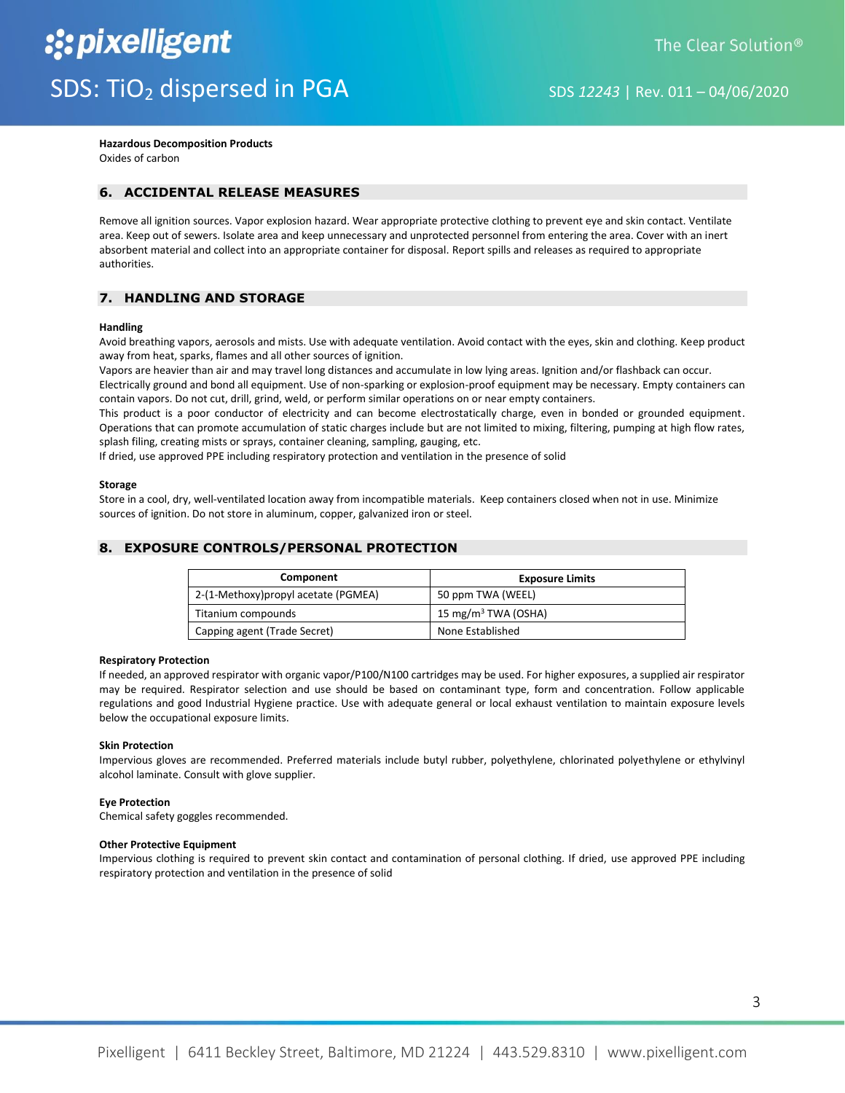**Hazardous Decomposition Products**

Oxides of carbon

# **6. ACCIDENTAL RELEASE MEASURES**

Remove all ignition sources. Vapor explosion hazard. Wear appropriate protective clothing to prevent eye and skin contact. Ventilate area. Keep out of sewers. Isolate area and keep unnecessary and unprotected personnel from entering the area. Cover with an inert absorbent material and collect into an appropriate container for disposal. Report spills and releases as required to appropriate authorities.

# **7. HANDLING AND STORAGE**

#### **Handling**

Avoid breathing vapors, aerosols and mists. Use with adequate ventilation. Avoid contact with the eyes, skin and clothing. Keep product away from heat, sparks, flames and all other sources of ignition.

Vapors are heavier than air and may travel long distances and accumulate in low lying areas. Ignition and/or flashback can occur.

Electrically ground and bond all equipment. Use of non-sparking or explosion-proof equipment may be necessary. Empty containers can contain vapors. Do not cut, drill, grind, weld, or perform similar operations on or near empty containers.

This product is a poor conductor of electricity and can become electrostatically charge, even in bonded or grounded equipment. Operations that can promote accumulation of static charges include but are not limited to mixing, filtering, pumping at high flow rates, splash filing, creating mists or sprays, container cleaning, sampling, gauging, etc.

If dried, use approved PPE including respiratory protection and ventilation in the presence of solid

#### **Storage**

Store in a cool, dry, well-ventilated location away from incompatible materials. Keep containers closed when not in use. Minimize sources of ignition. Do not store in aluminum, copper, galvanized iron or steel.

# **8. EXPOSURE CONTROLS/PERSONAL PROTECTION**

| Component                            | <b>Exposure Limits</b>          |
|--------------------------------------|---------------------------------|
| 2-(1-Methoxy) propyl acetate (PGMEA) | 50 ppm TWA (WEEL)               |
| Titanium compounds                   | 15 mg/m <sup>3</sup> TWA (OSHA) |
| Capping agent (Trade Secret)         | None Established                |

#### **Respiratory Protection**

If needed, an approved respirator with organic vapor/P100/N100 cartridges may be used. For higher exposures, a supplied air respirator may be required. Respirator selection and use should be based on contaminant type, form and concentration. Follow applicable regulations and good Industrial Hygiene practice. Use with adequate general or local exhaust ventilation to maintain exposure levels below the occupational exposure limits.

#### **Skin Protection**

Impervious gloves are recommended. Preferred materials include butyl rubber, polyethylene, chlorinated polyethylene or ethylvinyl alcohol laminate. Consult with glove supplier.

#### **Eye Protection**

Chemical safety goggles recommended.

#### **Other Protective Equipment**

Impervious clothing is required to prevent skin contact and contamination of personal clothing. If dried, use approved PPE including respiratory protection and ventilation in the presence of solid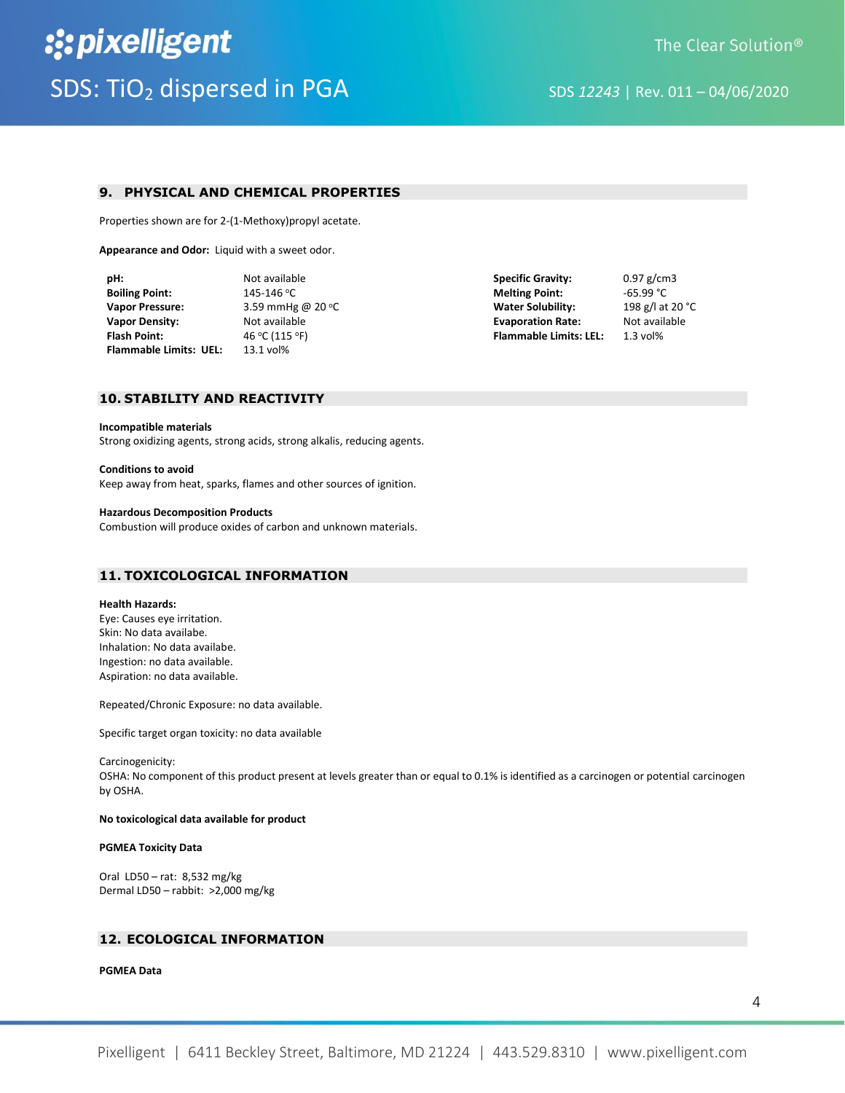# **9. PHYSICAL AND CHEMICAL PROPERTIES**

Properties shown are for 2-(1-Methoxy)propyl acetate.

**Appearance and Odor:** Liquid with a sweet odor.

| pH:                           | Not available     | <b>Specific Gravity:</b>      | $0.97$ g/cm3     |
|-------------------------------|-------------------|-------------------------------|------------------|
| <b>Boiling Point:</b>         | 145-146 °C        | <b>Melting Point:</b>         | -65.99 °C        |
| <b>Vapor Pressure:</b>        | 3.59 mmHg @ 20 °C | <b>Water Solubility:</b>      | 198 g/l at 20 °C |
| <b>Vapor Density:</b>         | Not available     | <b>Evaporation Rate:</b>      | Not available    |
| <b>Flash Point:</b>           | 46 °C (115 °F)    | <b>Flammable Limits: LEL:</b> | $1.3$ vol%       |
| <b>Flammable Limits: UEL:</b> | 13.1 vol%         |                               |                  |

# **10. STABILITY AND REACTIVITY**

#### **Incompatible materials**

Strong oxidizing agents, strong acids, strong alkalis, reducing agents.

**Conditions to avoid**

Keep away from heat, sparks, flames and other sources of ignition.

#### **Hazardous Decomposition Products**

Combustion will produce oxides of carbon and unknown materials.

# **11. TOXICOLOGICAL INFORMATION**

#### **Health Hazards:**

Eye: Causes eye irritation. Skin: No data availabe. Inhalation: No data availabe. Ingestion: no data available. Aspiration: no data available.

Repeated/Chronic Exposure: no data available.

Specific target organ toxicity: no data available

Carcinogenicity:

OSHA: No component of this product present at levels greater than or equal to 0.1% is identified as a carcinogen or potential carcinogen by OSHA.

**No toxicological data available for product**

#### **PGMEA Toxicity Data**

Oral LD50 – rat: 8,532 mg/kg Dermal LD50 – rabbit: >2,000 mg/kg

## **12. ECOLOGICAL INFORMATION**

### **PGMEA Data**

4